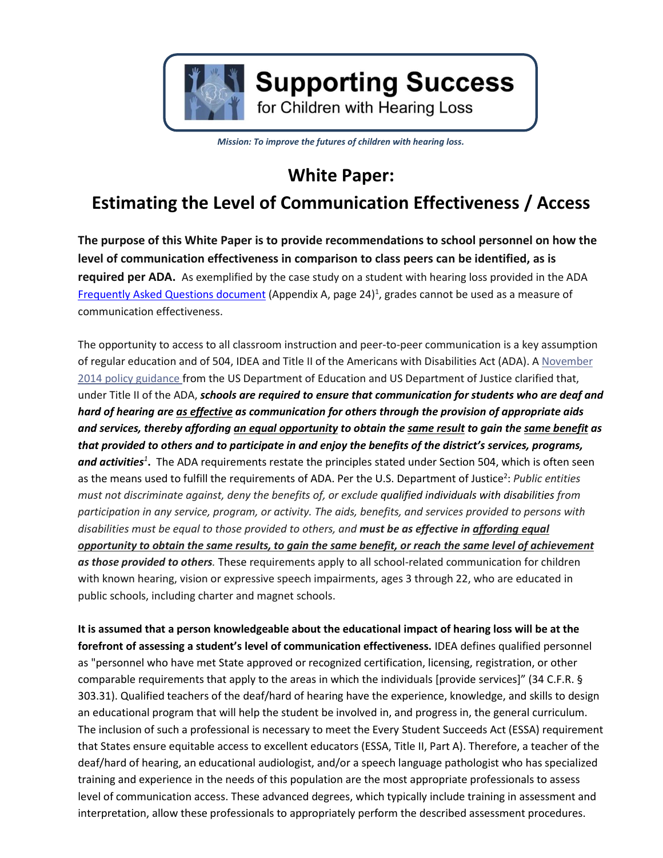

# **Supporting Success**

for Children with Hearing Loss

*Mission: To improve the futures of children with hearing loss.*

# **White Paper:**

# **Estimating the Level of Communication Effectiveness / Access**

**The purpose of this White Paper is to provide recommendations to school personnel on how the level of communication effectiveness in comparison to class peers can be identified, as is required per ADA.** As exemplified by the case study on a student with hearing loss provided in the ADA [Frequently Asked Questions document](http://www2.ed.gov/about/offices/list/ocr/docs/dcl-faqs-effective-communication-201411.pdf)</u> (Appendix A, page 24)<sup>1</sup>, grades cannot be used as a measure of communication effectiveness.

The opportunity to access to all classroom instruction and peer-to-peer communication is a key assumption of regular education and of 504, IDEA and Title II of the Americans with Disabilities Act (ADA). A [November](http://www2.ed.gov/about/offices/list/ocr/letters/colleague-effective-communication-201411.pdf) 2014 policy [guidance](http://www2.ed.gov/about/offices/list/ocr/letters/colleague-effective-communication-201411.pdf) from the US Department of Education and US Department of Justice clarified that, under Title II of the ADA, *schools are required to ensure that communication for students who are deaf and hard of hearing are as effective as communication for others through the provision of appropriate aids* and services, thereby affording an equal opportunity to obtain the same result to gain the same benefit as that provided to others and to participate in and enjoy the benefits of the district's services, programs, *and activities<sup>1</sup>* **.** The ADA requirements restate the principles stated under Section 504, which is often seen as the means used to fulfill the requirements of ADA. Per the U.S. Department of Justice<sup>2</sup>: Public entities *must not discriminate against, deny the benefits of, or exclude qualified individuals with disabilities from participation in any service, program, or activity. The aids, benefits, and services provided to persons with disabilities must be equal to those provided to others, and must be as effective in affording equal opportunity to obtain the same results, to gain the same benefit, or reach the same level of achievement as those provided to others.* These requirements apply to all school-related communication for children with known hearing, vision or expressive speech impairments, ages 3 through 22, who are educated in public schools, including charter and magnet schools.

**It is assumed that a person knowledgeable about the educational impact of hearing loss will be at the forefront of assessing a student's level of communication effectiveness.** IDEA defines qualified personnel as "personnel who have met State approved or recognized certification, licensing, registration, or other comparable requirements that apply to the areas in which the individuals [provide services]" (34 C.F.R. § 303.31). Qualified teachers of the deaf/hard of hearing have the experience, knowledge, and skills to design an educational program that will help the student be involved in, and progress in, the general curriculum. The inclusion of such a professional is necessary to meet the Every Student Succeeds Act (ESSA) requirement that States ensure equitable access to excellent educators (ESSA, Title II, Part A). Therefore, a teacher of the deaf/hard of hearing, an educational audiologist, and/or a speech language pathologist who has specialized training and experience in the needs of this population are the most appropriate professionals to assess level of communication access. These advanced degrees, which typically include training in assessment and interpretation, allow these professionals to appropriately perform the described assessment procedures.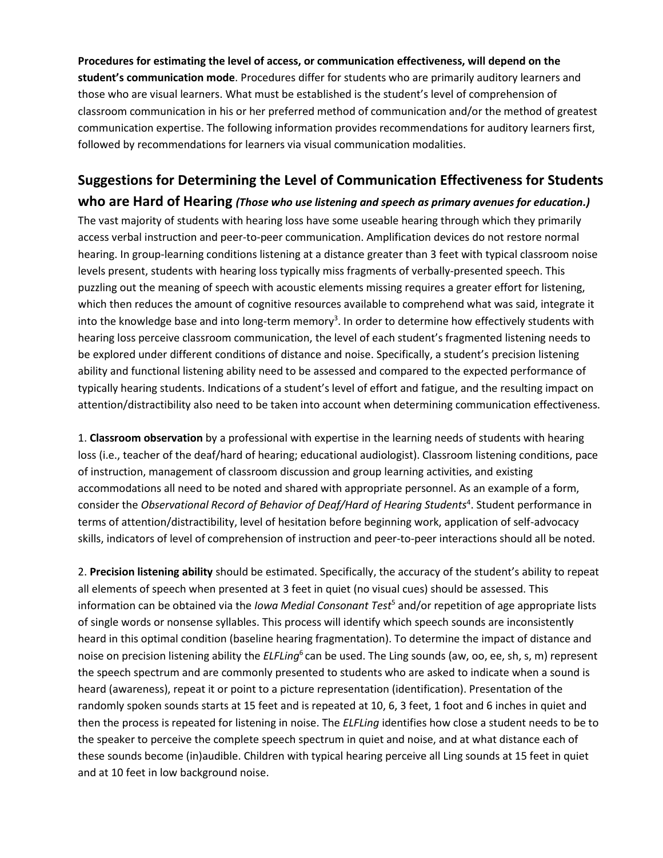**Procedures for estimating the level of access, or communication effectiveness, will depend on the student's communication mode**. Procedures differ for students who are primarily auditory learners and those who are visual learners. What must be established is the student's level of comprehension of classroom communication in his or her preferred method of communication and/or the method of greatest communication expertise. The following information provides recommendations for auditory learners first, followed by recommendations for learners via visual communication modalities.

### **Suggestions for Determining the Level of Communication Effectiveness for Students**

**who are Hard of Hearing** *(Those who use listening and speech as primary avenues for education.)* The vast majority of students with hearing loss have some useable hearing through which they primarily access verbal instruction and peer-to-peer communication. Amplification devices do not restore normal hearing. In group-learning conditions listening at a distance greater than 3 feet with typical classroom noise levels present, students with hearing loss typically miss fragments of verbally-presented speech. This puzzling out the meaning of speech with acoustic elements missing requires a greater effort for listening, which then reduces the amount of cognitive resources available to comprehend what was said, integrate it into the knowledge base and into long-term memory<sup>3</sup>. In order to determine how effectively students with hearing loss perceive classroom communication, the level of each student's fragmented listening needs to be explored under different conditions of distance and noise. Specifically, a student's precision listening ability and functional listening ability need to be assessed and compared to the expected performance of typically hearing students. Indications of a student's level of effort and fatigue, and the resulting impact on attention/distractibility also need to be taken into account when determining communication effectiveness.

1. **Classroom observation** by a professional with expertise in the learning needs of students with hearing loss (i.e., teacher of the deaf/hard of hearing; educational audiologist). Classroom listening conditions, pace of instruction, management of classroom discussion and group learning activities, and existing accommodations all need to be noted and shared with appropriate personnel. As an example of a form, consider the *Observational Record of Behavior of Deaf/Hard of Hearing Students<sup>4</sup>. Student performance in* terms of attention/distractibility, level of hesitation before beginning work, application of self-advocacy skills, indicators of level of comprehension of instruction and peer-to-peer interactions should all be noted.

2. **Precision listening ability** should be estimated. Specifically, the accuracy of the student's ability to repeat all elements of speech when presented at 3 feet in quiet (no visual cues) should be assessed. This information can be obtained via the *Iowa Medial Consonant Test*<sup>5</sup> and/or repetition of age appropriate lists of single words or nonsense syllables. This process will identify which speech sounds are inconsistently heard in this optimal condition (baseline hearing fragmentation). To determine the impact of distance and noise on precision listening ability the *ELFLing*<sup>6</sup> can be used. The Ling sounds (aw, oo, ee, sh, s, m) represent the speech spectrum and are commonly presented to students who are asked to indicate when a sound is heard (awareness), repeat it or point to a picture representation (identification). Presentation of the randomly spoken sounds starts at 15 feet and is repeated at 10, 6, 3 feet, 1 foot and 6 inches in quiet and then the process is repeated for listening in noise. The *ELFLing* identifies how close a student needs to be to the speaker to perceive the complete speech spectrum in quiet and noise, and at what distance each of these sounds become (in)audible. Children with typical hearing perceive all Ling sounds at 15 feet in quiet and at 10 feet in low background noise.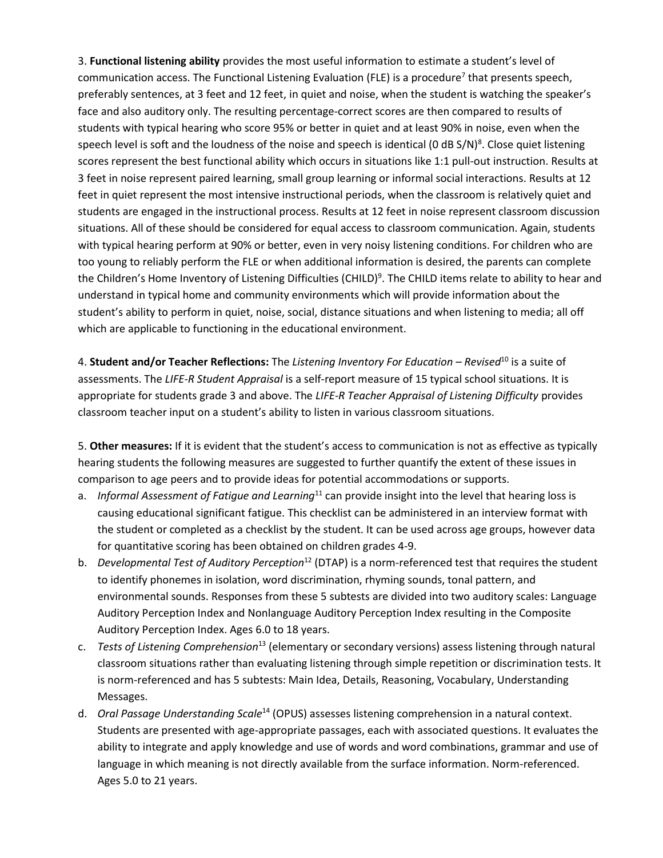3. **Functional listening ability** provides the most useful information to estimate a student's level of communication access. The Functional Listening Evaluation (FLE) is a procedure<sup>7</sup> that presents speech, preferably sentences, at 3 feet and 12 feet, in quiet and noise, when the student is watching the speaker's face and also auditory only. The resulting percentage-correct scores are then compared to results of students with typical hearing who score 95% or better in quiet and at least 90% in noise, even when the speech level is soft and the loudness of the noise and speech is identical (0 dB S/N)<sup>8</sup>. Close quiet listening scores represent the best functional ability which occurs in situations like 1:1 pull-out instruction. Results at 3 feet in noise represent paired learning, small group learning or informal social interactions. Results at 12 feet in quiet represent the most intensive instructional periods, when the classroom is relatively quiet and students are engaged in the instructional process. Results at 12 feet in noise represent classroom discussion situations. All of these should be considered for equal access to classroom communication. Again, students with typical hearing perform at 90% or better, even in very noisy listening conditions. For children who are too young to reliably perform the FLE or when additional information is desired, the parents can complete the Children's Home Inventory of Listening Difficulties (CHILD)<sup>9</sup>. The CHILD items relate to ability to hear and understand in typical home and community environments which will provide information about the student's ability to perform in quiet, noise, social, distance situations and when listening to media; all off which are applicable to functioning in the educational environment.

4. **Student and/or Teacher Reflections:** The *Listening Inventory For Education – Revised*<sup>10</sup> is a suite of assessments. The *LIFE-R Student Appraisal* is a self-report measure of 15 typical school situations. It is appropriate for students grade 3 and above. The *LIFE-R Teacher Appraisal of Listening Difficulty* provides classroom teacher input on a student's ability to listen in various classroom situations.

5. **Other measures:** If it is evident that the student's access to communication is not as effective as typically hearing students the following measures are suggested to further quantify the extent of these issues in comparison to age peers and to provide ideas for potential accommodations or supports.

- a. *Informal Assessment of Fatigue and Learning*<sup>11</sup> can provide insight into the level that hearing loss is causing educational significant fatigue. This checklist can be administered in an interview format with the student or completed as a checklist by the student. It can be used across age groups, however data for quantitative scoring has been obtained on children grades 4-9.
- b. *Developmental Test of Auditory Perception*<sup>12</sup> (DTAP) is a norm-referenced test that requires the student to identify phonemes in isolation, word discrimination, rhyming sounds, tonal pattern, and environmental sounds. Responses from these 5 subtests are divided into two auditory scales: Language Auditory Perception Index and Nonlanguage Auditory Perception Index resulting in the Composite Auditory Perception Index. Ages 6.0 to 18 years.
- c. *Tests of Listening Comprehension*<sup>13</sup> (elementary or secondary versions) assess listening through natural classroom situations rather than evaluating listening through simple repetition or discrimination tests. It is norm-referenced and has 5 subtests: Main Idea, Details, Reasoning, Vocabulary, Understanding Messages.
- d. *Oral Passage Understanding Scale*<sup>14</sup> (OPUS) assesses listening comprehension in a natural context. Students are presented with age-appropriate passages, each with associated questions. It evaluates the ability to integrate and apply knowledge and use of words and word combinations, grammar and use of language in which meaning is not directly available from the surface information. Norm-referenced. Ages 5.0 to 21 years.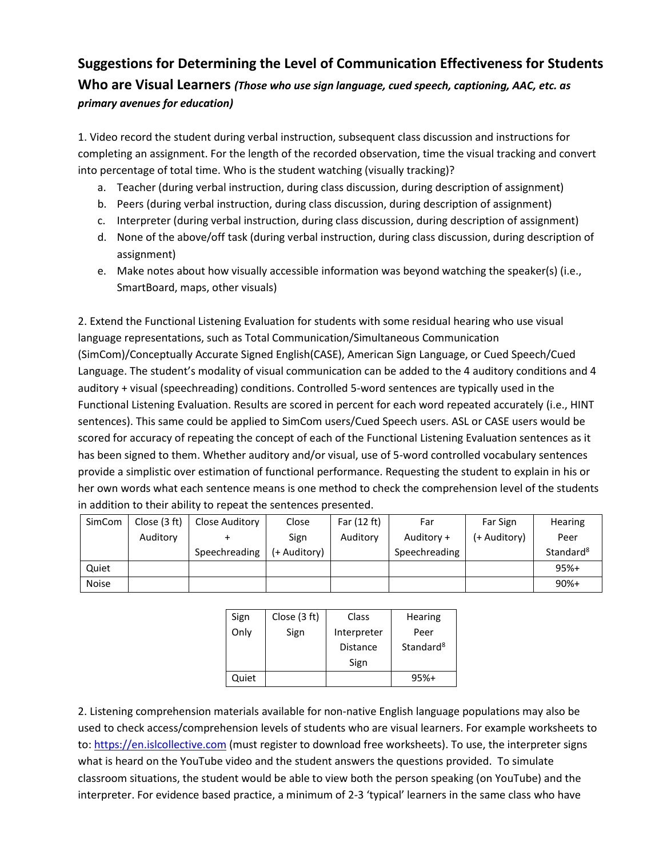# **Suggestions for Determining the Level of Communication Effectiveness for Students Who are Visual Learners** *(Those who use sign language, cued speech, captioning, AAC, etc. as primary avenues for education)*

1. Video record the student during verbal instruction, subsequent class discussion and instructions for completing an assignment. For the length of the recorded observation, time the visual tracking and convert into percentage of total time. Who is the student watching (visually tracking)?

- a. Teacher (during verbal instruction, during class discussion, during description of assignment)
- b. Peers (during verbal instruction, during class discussion, during description of assignment)
- c. Interpreter (during verbal instruction, during class discussion, during description of assignment)
- d. None of the above/off task (during verbal instruction, during class discussion, during description of assignment)
- e. Make notes about how visually accessible information was beyond watching the speaker(s) (i.e., SmartBoard, maps, other visuals)

2. Extend the Functional Listening Evaluation for students with some residual hearing who use visual language representations, such as Total Communication/Simultaneous Communication (SimCom)/Conceptually Accurate Signed English(CASE), American Sign Language, or Cued Speech/Cued Language. The student's modality of visual communication can be added to the 4 auditory conditions and 4 auditory + visual (speechreading) conditions. Controlled 5-word sentences are typically used in the Functional Listening Evaluation. Results are scored in percent for each word repeated accurately (i.e., HINT sentences). This same could be applied to SimCom users/Cued Speech users. ASL or CASE users would be scored for accuracy of repeating the concept of each of the Functional Listening Evaluation sentences as it has been signed to them. Whether auditory and/or visual, use of 5-word controlled vocabulary sentences provide a simplistic over estimation of functional performance. Requesting the student to explain in his or her own words what each sentence means is one method to check the comprehension level of the students in addition to their ability to repeat the sentences presented.

| SimCom       | Close (3 ft) | Close Auditory | Close        | Far (12 ft) | Far           | Far Sign     | Hearing               |
|--------------|--------------|----------------|--------------|-------------|---------------|--------------|-----------------------|
|              | Auditory     |                | Sign         | Auditory    | Auditory +    | (+ Auditory) | Peer                  |
|              |              | Speechreading  | (+ Auditory) |             | Speechreading |              | Standard <sup>8</sup> |
| Quiet        |              |                |              |             |               |              | $95%+$                |
| <b>Noise</b> |              |                |              |             |               |              | $90%+$                |

| Sign  | Close (3 ft) | Class       | Hearing               |  |
|-------|--------------|-------------|-----------------------|--|
| Only  | Sign         | Interpreter | Peer                  |  |
|       |              | Distance    | Standard <sup>8</sup> |  |
|       |              | Sign        |                       |  |
| Quiet |              |             | $95%+$                |  |

2. Listening comprehension materials available for non-native English language populations may also be used to check access/comprehension levels of students who are visual learners. For example worksheets to to: [https://en.islcollective.com](https://en.islcollective.com/) (must register to download free worksheets). To use, the interpreter signs what is heard on the YouTube video and the student answers the questions provided. To simulate classroom situations, the student would be able to view both the person speaking (on YouTube) and the interpreter. For evidence based practice, a minimum of 2-3 'typical' learners in the same class who have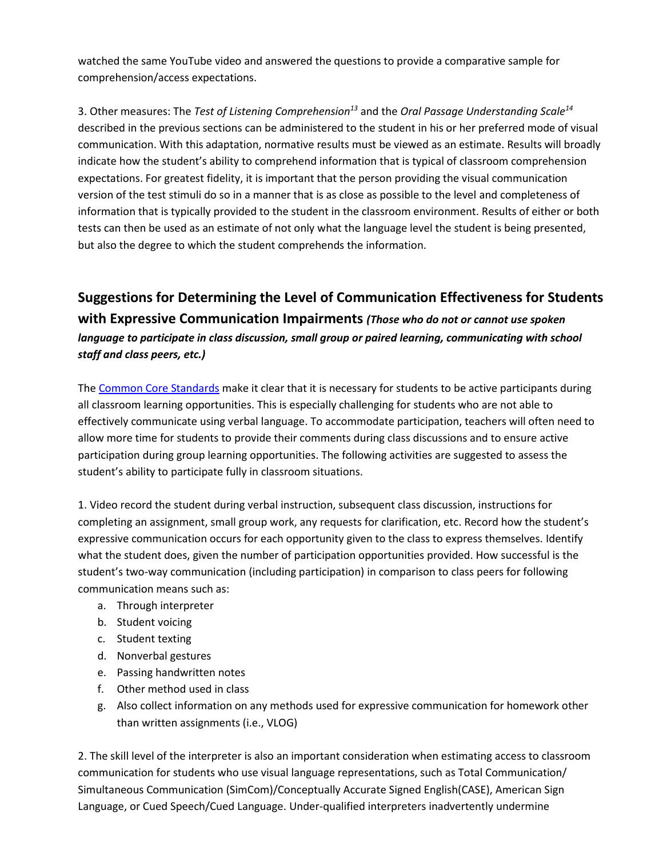watched the same YouTube video and answered the questions to provide a comparative sample for comprehension/access expectations.

3. Other measures: The *Test of Listening Comprehension<sup>13</sup>* and the *Oral Passage Understanding Scale<sup>14</sup>* described in the previous sections can be administered to the student in his or her preferred mode of visual communication. With this adaptation, normative results must be viewed as an estimate. Results will broadly indicate how the student's ability to comprehend information that is typical of classroom comprehension expectations. For greatest fidelity, it is important that the person providing the visual communication version of the test stimuli do so in a manner that is as close as possible to the level and completeness of information that is typically provided to the student in the classroom environment. Results of either or both tests can then be used as an estimate of not only what the language level the student is being presented, but also the degree to which the student comprehends the information.

## **Suggestions for Determining the Level of Communication Effectiveness for Students with Expressive Communication Impairments** *(Those who do not or cannot use spoken language to participate in class discussion, small group or paired learning, communicating with school staff and class peers, etc.)*

The [Common Core Standards](http://www.corestandards.org/) make it clear that it is necessary for students to be active participants during all classroom learning opportunities. This is especially challenging for students who are not able to effectively communicate using verbal language. To accommodate participation, teachers will often need to allow more time for students to provide their comments during class discussions and to ensure active participation during group learning opportunities. The following activities are suggested to assess the student's ability to participate fully in classroom situations.

1. Video record the student during verbal instruction, subsequent class discussion, instructions for completing an assignment, small group work, any requests for clarification, etc. Record how the student's expressive communication occurs for each opportunity given to the class to express themselves. Identify what the student does, given the number of participation opportunities provided. How successful is the student's two-way communication (including participation) in comparison to class peers for following communication means such as:

- a. Through interpreter
- b. Student voicing
- c. Student texting
- d. Nonverbal gestures
- e. Passing handwritten notes
- f. Other method used in class
- g. Also collect information on any methods used for expressive communication for homework other than written assignments (i.e., VLOG)

2. The skill level of the interpreter is also an important consideration when estimating access to classroom communication for students who use visual language representations, such as Total Communication/ Simultaneous Communication (SimCom)/Conceptually Accurate Signed English(CASE), American Sign Language, or Cued Speech/Cued Language. Under-qualified interpreters inadvertently undermine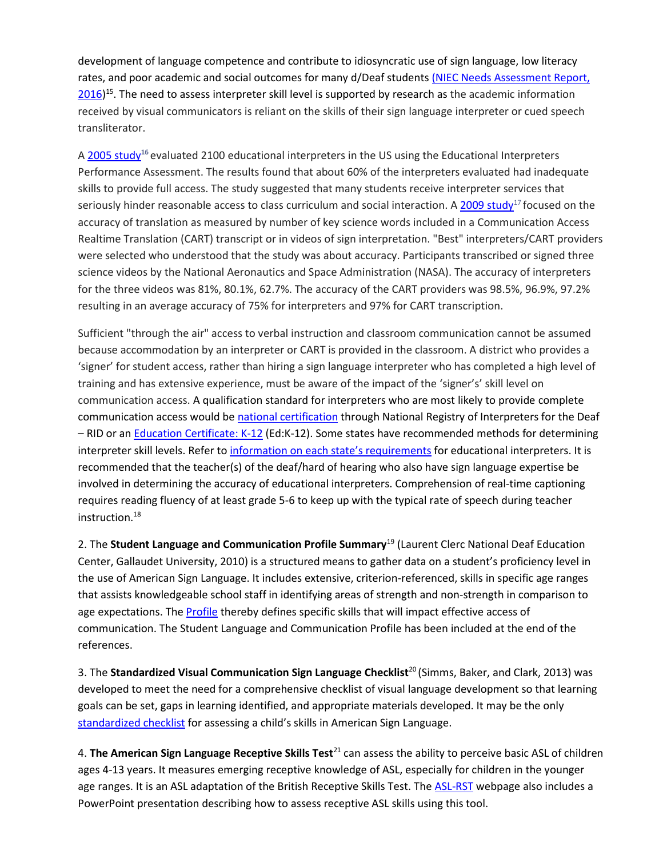development of language competence and contribute to idiosyncratic use of sign language, low literacy rates, and poor academic and social outcomes for many d/Deaf students [\(NIEC Needs Assessment Report,](https://www.google.com/url?sa=t&rct=j&q=&esrc=s&source=web&cd=4&cad=rja&uact=8&ved=0ahUKEwip-t2rkKfUAhVlyoMKHZBwCEEQFgg4MAM&url=http%3A%2F%2Fwww.interpretereducation.org%2Fwp-content%2Fuploads%2F2014%2F02%2FFinal-K-12-Interpreter-Report-12-20.pdf&usg=AFQjCNEgtx4lmdjVbxiQljYjjgBOkvIIGQ)  [2016\)](https://www.google.com/url?sa=t&rct=j&q=&esrc=s&source=web&cd=4&cad=rja&uact=8&ved=0ahUKEwip-t2rkKfUAhVlyoMKHZBwCEEQFgg4MAM&url=http%3A%2F%2Fwww.interpretereducation.org%2Fwp-content%2Fuploads%2F2014%2F02%2FFinal-K-12-Interpreter-Report-12-20.pdf&usg=AFQjCNEgtx4lmdjVbxiQljYjjgBOkvIIGQ)<sup>15</sup>. The need to assess interpreter skill level is supported by research as the academic information received by visual communicators is reliant on the skills of their sign language interpreter or cued speech transliterator.

A [2005 study](http://jdsde.oxfordjournals.org/content/11/1/3.abstract)<sup>16</sup> evaluated 2100 educational interpreters in the US using the Educational Interpreters Performance Assessment. The results found that about 60% of the interpreters evaluated had inadequate skills to provide full access. The study suggested that many students receive interpreter services that seriously hinder reasonable access to class curriculum and social interaction. A [2009 study](https://core.ac.uk/download/pdf/12208311.pdf)<sup>17</sup> focused on the accuracy of translation as measured by number of key science words included in a Communication Access Realtime Translation (CART) transcript or in videos of sign interpretation. "Best" interpreters/CART providers were selected who understood that the study was about accuracy. Participants transcribed or signed three science videos by the National Aeronautics and Space Administration (NASA). The accuracy of interpreters for the three videos was 81%, 80.1%, 62.7%. The accuracy of the CART providers was 98.5%, 96.9%, 97.2% resulting in an average accuracy of 75% for interpreters and 97% for CART transcription.

Sufficient "through the air" access to verbal instruction and classroom communication cannot be assumed because accommodation by an interpreter or CART is provided in the classroom. A district who provides a 'signer' for student access, rather than hiring a sign language interpreter who has completed a high level of training and has extensive experience, must be aware of the impact of the 'signer's' skill level on communication access. A qualification standard for interpreters who are most likely to provide complete communication access would be national [certification](http://rid.org/rid-certification-overview) through National Registry of Interpreters for the Deaf – RID or a[n Education Certificate: K-12](http://rid.org/rid-certification-overview/certifications-under-moratorium/) (Ed:K-12). Some states have recommended methods for determining interpreter skill levels. Refer to [information on each state's requirements](http://rid.org/advocacy-overview/state-information-and-advocacy/) for educational interpreters. It is recommended that the teacher(s) of the deaf/hard of hearing who also have sign language expertise be involved in determining the accuracy of educational interpreters. Comprehension of real-time captioning requires reading fluency of at least grade 5-6 to keep up with the typical rate of speech during teacher instruction. 18

2. The **Student Language and Communication Profile Summary**<sup>19</sup> (Laurent Clerc National Deaf Education Center, Gallaudet University, 2010) is a structured means to gather data on a student's proficiency level in the use of American Sign Language. It includes extensive, criterion-referenced, skills in specific age ranges that assists knowledgeable school staff in identifying areas of strength and non-strength in comparison to age expectations. The [Profile](https://texasdeafed.org/uploads/files/general-files/Clerc_Center_Student_Language_and_Communication_Profile_Summary.pdf) thereby defines specific skills that will impact effective access of communication. The Student Language and Communication Profile has been included at the end of the references.

3. The **Standardized Visual Communication Sign Language Checklist**<sup>20</sup>(Simms, Baker, and Clark, 2013) was developed to meet the need for a comprehensive checklist of visual language development so that learning goals can be set, gaps in learning identified, and appropriate materials developed. It may be the only [standardized checklist](https://www.google.com/url?sa=t&rct=j&q=&esrc=s&source=web&cd=1&cad=rja&uact=8&ved=0ahUKEwib9s7spafUAhVp34MKHVceCEcQFggmMAA&url=http%3A%2F%2Fvl2.gallaudet.edu%2Ffiles%2F9914%2F2324%2F5941%2F14.1.simms.pdf&usg=AFQjCNHBroqBnp-Mrw4IovrTbLOM85HRcg) for assessing a child's skills in American Sign Language.

4. **The American Sign Language Receptive Skills Test**<sup>21</sup> can assess the ability to perceive basic ASL of children ages 4-13 years. It measures emerging receptive knowledge of ASL, especially for children in the younger age ranges. It is an ASL adaptation of the British Receptive Skills Test. The **[ASL-RST](http://vl2.gallaudet.edu/resources/asl-assessment-toolkits/asl-receptive-skills-test/)** webpage also includes a PowerPoint presentation describing how to assess receptive ASL skills using this tool.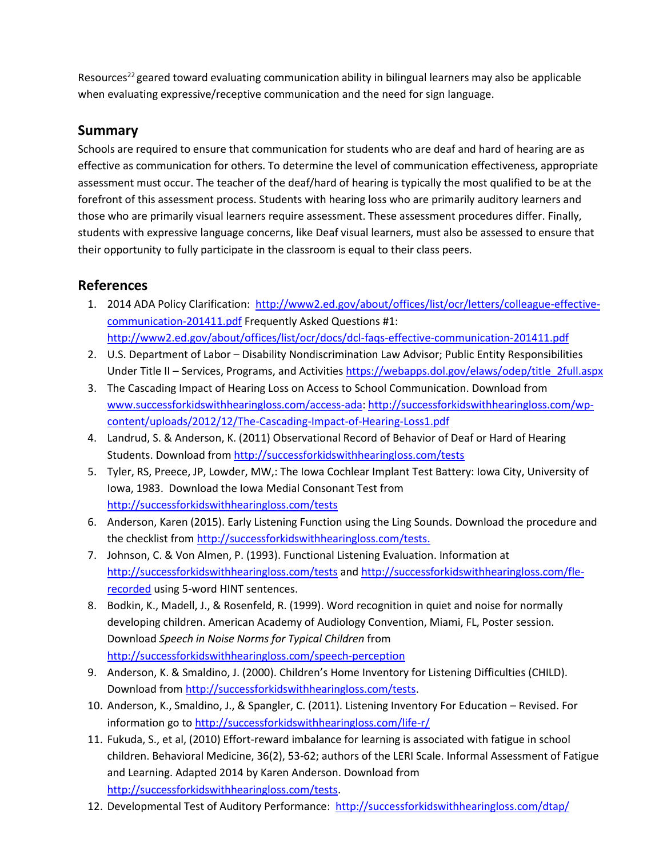Resources<sup>22</sup> geared toward evaluating communication ability in bilingual learners may also be applicable when evaluating expressive/receptive communication and the need for sign language.

#### **Summary**

Schools are required to ensure that communication for students who are deaf and hard of hearing are as effective as communication for others. To determine the level of communication effectiveness, appropriate assessment must occur. The teacher of the deaf/hard of hearing is typically the most qualified to be at the forefront of this assessment process. Students with hearing loss who are primarily auditory learners and those who are primarily visual learners require assessment. These assessment procedures differ. Finally, students with expressive language concerns, like Deaf visual learners, must also be assessed to ensure that their opportunity to fully participate in the classroom is equal to their class peers.

### **References**

- 1. 2014 ADA Policy Clarification: [http://www2.ed.gov/about/offices/list/ocr/letters/colleague-effective](http://www2.ed.gov/about/offices/list/ocr/letters/colleague-effective-communication-201411.pdf)[communication-201411.pdf](http://www2.ed.gov/about/offices/list/ocr/letters/colleague-effective-communication-201411.pdf) Frequently Asked Questions #1: <http://www2.ed.gov/about/offices/list/ocr/docs/dcl-faqs-effective-communication-201411.pdf>
- 2. U.S. Department of Labor Disability Nondiscrimination Law Advisor; Public Entity Responsibilities Under Title II – Services, Programs, and Activities [https://webapps.dol.gov/elaws/odep/title\\_2full.aspx](https://webapps.dol.gov/elaws/odep/title_2full.aspx)
- 3. The Cascading Impact of Hearing Loss on Access to School Communication. Download from [www.successforkidswithhearingloss.com/access-ada:](http://www.successforkidswithhearingloss.com/access-ada) [http://successforkidswithhearingloss.com/wp](http://successforkidswithhearingloss.com/wp-content/uploads/2012/12/The-Cascading-Impact-of-Hearing-Loss1.pdf)[content/uploads/2012/12/The-Cascading-Impact-of-Hearing-Loss1.pdf](http://successforkidswithhearingloss.com/wp-content/uploads/2012/12/The-Cascading-Impact-of-Hearing-Loss1.pdf)
- 4. Landrud, S. & Anderson, K. (2011) Observational Record of Behavior of Deaf or Hard of Hearing Students. Download from<http://successforkidswithhearingloss.com/tests>
- 5. Tyler, RS, Preece, JP, Lowder, MW,: The Iowa Cochlear Implant Test Battery: Iowa City, University of Iowa, 1983. Download the Iowa Medial Consonant Test from <http://successforkidswithhearingloss.com/tests>
- 6. Anderson, Karen (2015). Early Listening Function using the Ling Sounds. Download the procedure and the checklist from [http://successforkidswithhearingloss.com/tests.](http://successforkidswithhearingloss.com/tests)
- 7. Johnson, C. & Von Almen, P. (1993). Functional Listening Evaluation. Information at <http://successforkidswithhearingloss.com/tests> an[d http://successforkidswithhearingloss.com/fle](http://successforkidswithhearingloss.com/fle-recorded)[recorded](http://successforkidswithhearingloss.com/fle-recorded) using 5-word HINT sentences.
- 8. Bodkin, K., Madell, J., & Rosenfeld, R. (1999). Word recognition in quiet and noise for normally developing children. American Academy of Audiology Convention, Miami, FL, Poster session. Download *Speech in Noise Norms for Typical Children* from <http://successforkidswithhearingloss.com/speech-perception>
- 9. Anderson, K. & Smaldino, J. (2000). Children's Home Inventory for Listening Difficulties (CHILD). Download from [http://successforkidswithhearingloss.com/tests.](http://successforkidswithhearingloss.com/tests)
- 10. Anderson, K., Smaldino, J., & Spangler, C. (2011). Listening Inventory For Education Revised. For information go to<http://successforkidswithhearingloss.com/life-r/>
- 11. Fukuda, S., et al, (2010) Effort-reward imbalance for learning is associated with fatigue in school children. Behavioral Medicine, 36(2), 53-62; authors of the LERI Scale. Informal Assessment of Fatigue and Learning. Adapted 2014 by Karen Anderson. Download from [http://successforkidswithhearingloss.com/tests.](http://successforkidswithhearingloss.com/tests)
- 12. Developmental Test of Auditory Performance: <http://successforkidswithhearingloss.com/dtap/>